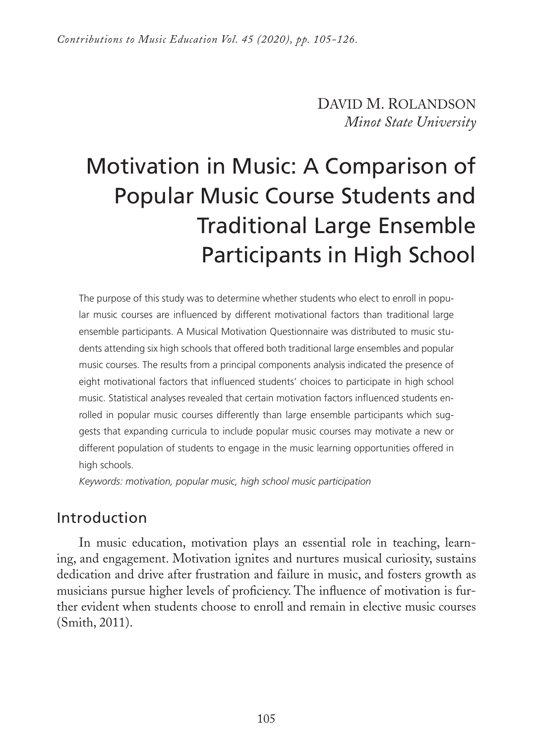DAVID M. ROLANDSON *Minot State University* 

# Motivation in Music: A Comparison of Popular Music Course Students and Traditional Large Ensemble Participants in High School

The purpose of this study was to determine whether students who elect to enroll in popular music courses are influenced by different motivational factors than traditional large ensemble participants. A Musical Motivation Questionnaire was distributed to music students attending six high schools that offered both traditional large ensembles and popular music courses. The results from a principal components analysis indicated the presence of eight motivational factors that influenced students' choices to participate in high school music. Statistical analyses revealed that certain motivation factors influenced students enrolled in popular music courses differently than large ensemble participants which suggests that expanding curricula to include popular music courses may motivate a new or different population of students to engage in the music learning opportunities offered in high schools.

*Keywords: motivation, popular music, high school music participation*

## Introduction

In music education, motivation plays an essential role in teaching, learning, and engagement. Motivation ignites and nurtures musical curiosity, sustains dedication and drive after frustration and failure in music, and fosters growth as musicians pursue higher levels of proficiency. The influence of motivation is further evident when students choose to enroll and remain in elective music courses (Smith, 2011).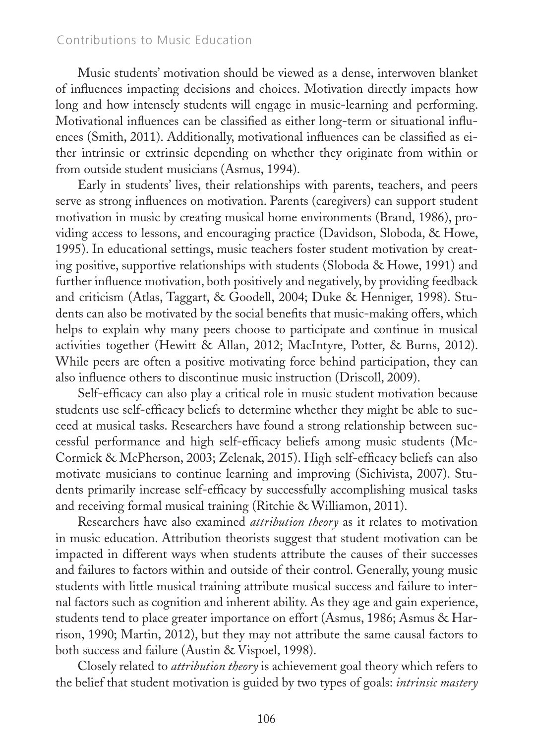### Contributions to Music Education

Music students' motivation should be viewed as a dense, interwoven blanket of influences impacting decisions and choices. Motivation directly impacts how long and how intensely students will engage in music-learning and performing. Motivational influences can be classified as either long-term or situational influences (Smith, 2011). Additionally, motivational influences can be classified as either intrinsic or extrinsic depending on whether they originate from within or from outside student musicians (Asmus, 1994).

Early in students' lives, their relationships with parents, teachers, and peers serve as strong influences on motivation. Parents (caregivers) can support student motivation in music by creating musical home environments (Brand, 1986), providing access to lessons, and encouraging practice (Davidson, Sloboda, & Howe, 1995). In educational settings, music teachers foster student motivation by creating positive, supportive relationships with students (Sloboda & Howe, 1991) and further influence motivation, both positively and negatively, by providing feedback and criticism (Atlas, Taggart, & Goodell, 2004; Duke & Henniger, 1998). Students can also be motivated by the social benefits that music-making offers, which helps to explain why many peers choose to participate and continue in musical activities together (Hewitt & Allan, 2012; MacIntyre, Potter, & Burns, 2012). While peers are often a positive motivating force behind participation, they can also influence others to discontinue music instruction (Driscoll, 2009).

Self-efficacy can also play a critical role in music student motivation because students use self-efficacy beliefs to determine whether they might be able to succeed at musical tasks. Researchers have found a strong relationship between successful performance and high self-efficacy beliefs among music students (Mc-Cormick & McPherson, 2003; Zelenak, 2015). High self-efficacy beliefs can also motivate musicians to continue learning and improving (Sichivista, 2007). Students primarily increase self-efficacy by successfully accomplishing musical tasks and receiving formal musical training (Ritchie & Williamon, 2011).

Researchers have also examined *attribution theory* as it relates to motivation in music education. Attribution theorists suggest that student motivation can be impacted in different ways when students attribute the causes of their successes and failures to factors within and outside of their control. Generally, young music students with little musical training attribute musical success and failure to internal factors such as cognition and inherent ability. As they age and gain experience, students tend to place greater importance on effort (Asmus, 1986; Asmus & Harrison, 1990; Martin, 2012), but they may not attribute the same causal factors to both success and failure (Austin & Vispoel, 1998).

Closely related to *attribution theory* is achievement goal theory which refers to the belief that student motivation is guided by two types of goals: *intrinsic mastery*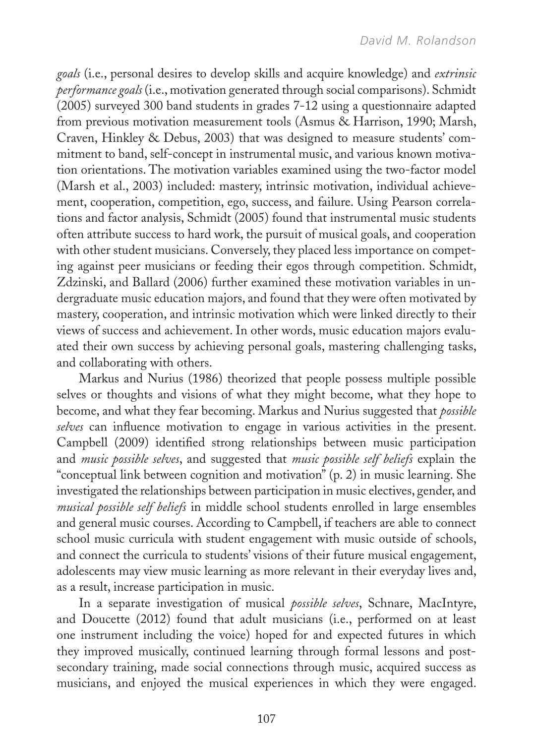*goals* (i.e., personal desires to develop skills and acquire knowledge) and *extrinsic performance goals* (i.e., motivation generated through social comparisons). Schmidt (2005) surveyed 300 band students in grades 7-12 using a questionnaire adapted from previous motivation measurement tools (Asmus & Harrison, 1990; Marsh, Craven, Hinkley & Debus, 2003) that was designed to measure students' commitment to band, self-concept in instrumental music, and various known motivation orientations. The motivation variables examined using the two-factor model (Marsh et al., 2003) included: mastery, intrinsic motivation, individual achievement, cooperation, competition, ego, success, and failure. Using Pearson correlations and factor analysis, Schmidt (2005) found that instrumental music students often attribute success to hard work, the pursuit of musical goals, and cooperation with other student musicians. Conversely, they placed less importance on competing against peer musicians or feeding their egos through competition. Schmidt, Zdzinski, and Ballard (2006) further examined these motivation variables in undergraduate music education majors, and found that they were often motivated by mastery, cooperation, and intrinsic motivation which were linked directly to their views of success and achievement. In other words, music education majors evaluated their own success by achieving personal goals, mastering challenging tasks, and collaborating with others.

Markus and Nurius (1986) theorized that people possess multiple possible selves or thoughts and visions of what they might become, what they hope to become, and what they fear becoming. Markus and Nurius suggested that *possible selves* can influence motivation to engage in various activities in the present. Campbell (2009) identified strong relationships between music participation and *music possible selves*, and suggested that *music possible self beliefs* explain the "conceptual link between cognition and motivation" (p. 2) in music learning. She investigated the relationships between participation in music electives, gender, and *musical possible self beliefs* in middle school students enrolled in large ensembles and general music courses. According to Campbell, if teachers are able to connect school music curricula with student engagement with music outside of schools, and connect the curricula to students' visions of their future musical engagement, adolescents may view music learning as more relevant in their everyday lives and, as a result, increase participation in music.

In a separate investigation of musical *possible selves*, Schnare, MacIntyre, and Doucette (2012) found that adult musicians (i.e., performed on at least one instrument including the voice) hoped for and expected futures in which they improved musically, continued learning through formal lessons and postsecondary training, made social connections through music, acquired success as musicians, and enjoyed the musical experiences in which they were engaged.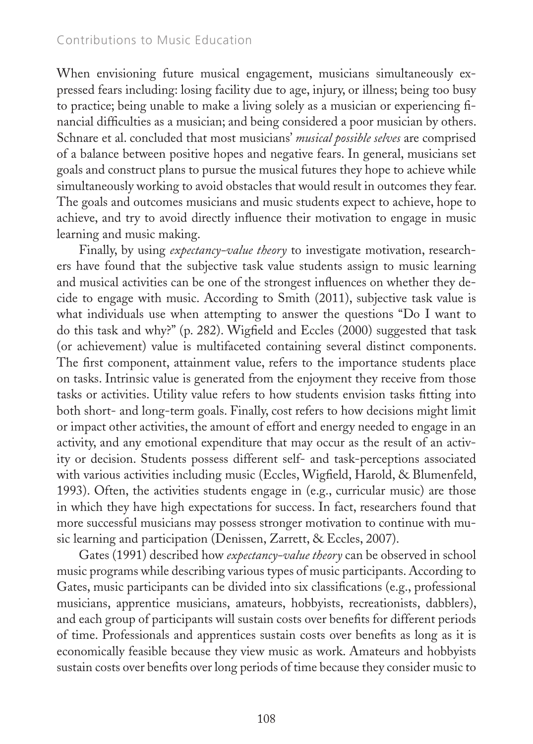When envisioning future musical engagement, musicians simultaneously expressed fears including: losing facility due to age, injury, or illness; being too busy to practice; being unable to make a living solely as a musician or experiencing financial difficulties as a musician; and being considered a poor musician by others. Schnare et al. concluded that most musicians' *musical possible selves* are comprised of a balance between positive hopes and negative fears. In general, musicians set goals and construct plans to pursue the musical futures they hope to achieve while simultaneously working to avoid obstacles that would result in outcomes they fear. The goals and outcomes musicians and music students expect to achieve, hope to achieve, and try to avoid directly influence their motivation to engage in music learning and music making.

Finally, by using *expectancy-value theory* to investigate motivation, researchers have found that the subjective task value students assign to music learning and musical activities can be one of the strongest influences on whether they decide to engage with music. According to Smith (2011), subjective task value is what individuals use when attempting to answer the questions "Do I want to do this task and why?" (p. 282). Wigfield and Eccles (2000) suggested that task (or achievement) value is multifaceted containing several distinct components. The first component, attainment value, refers to the importance students place on tasks. Intrinsic value is generated from the enjoyment they receive from those tasks or activities. Utility value refers to how students envision tasks fitting into both short- and long-term goals. Finally, cost refers to how decisions might limit or impact other activities, the amount of effort and energy needed to engage in an activity, and any emotional expenditure that may occur as the result of an activity or decision. Students possess different self- and task-perceptions associated with various activities including music (Eccles, Wigfield, Harold, & Blumenfeld, 1993). Often, the activities students engage in (e.g., curricular music) are those in which they have high expectations for success. In fact, researchers found that more successful musicians may possess stronger motivation to continue with music learning and participation (Denissen, Zarrett, & Eccles, 2007).

Gates (1991) described how *expectancy-value theory* can be observed in school music programs while describing various types of music participants. According to Gates, music participants can be divided into six classifications (e.g., professional musicians, apprentice musicians, amateurs, hobbyists, recreationists, dabblers), and each group of participants will sustain costs over benefits for different periods of time. Professionals and apprentices sustain costs over benefits as long as it is economically feasible because they view music as work. Amateurs and hobbyists sustain costs over benefits over long periods of time because they consider music to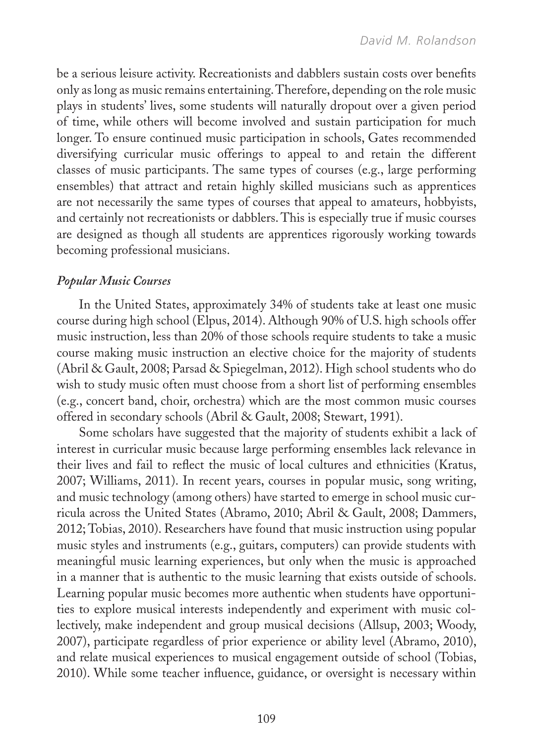be a serious leisure activity. Recreationists and dabblers sustain costs over benefits only as long as music remains entertaining. Therefore, depending on the role music plays in students' lives, some students will naturally dropout over a given period of time, while others will become involved and sustain participation for much longer. To ensure continued music participation in schools, Gates recommended diversifying curricular music offerings to appeal to and retain the different classes of music participants. The same types of courses (e.g., large performing ensembles) that attract and retain highly skilled musicians such as apprentices are not necessarily the same types of courses that appeal to amateurs, hobbyists, and certainly not recreationists or dabblers. This is especially true if music courses are designed as though all students are apprentices rigorously working towards becoming professional musicians.

### *Popular Music Courses*

In the United States, approximately 34% of students take at least one music course during high school (Elpus, 2014). Although 90% of U.S. high schools offer music instruction, less than 20% of those schools require students to take a music course making music instruction an elective choice for the majority of students (Abril & Gault, 2008; Parsad & Spiegelman, 2012). High school students who do wish to study music often must choose from a short list of performing ensembles (e.g., concert band, choir, orchestra) which are the most common music courses offered in secondary schools (Abril & Gault, 2008; Stewart, 1991).

Some scholars have suggested that the majority of students exhibit a lack of interest in curricular music because large performing ensembles lack relevance in their lives and fail to reflect the music of local cultures and ethnicities (Kratus, 2007; Williams, 2011). In recent years, courses in popular music, song writing, and music technology (among others) have started to emerge in school music curricula across the United States (Abramo, 2010; Abril & Gault, 2008; Dammers, 2012; Tobias, 2010). Researchers have found that music instruction using popular music styles and instruments (e.g., guitars, computers) can provide students with meaningful music learning experiences, but only when the music is approached in a manner that is authentic to the music learning that exists outside of schools. Learning popular music becomes more authentic when students have opportunities to explore musical interests independently and experiment with music collectively, make independent and group musical decisions (Allsup, 2003; Woody, 2007), participate regardless of prior experience or ability level (Abramo, 2010), and relate musical experiences to musical engagement outside of school (Tobias, 2010). While some teacher influence, guidance, or oversight is necessary within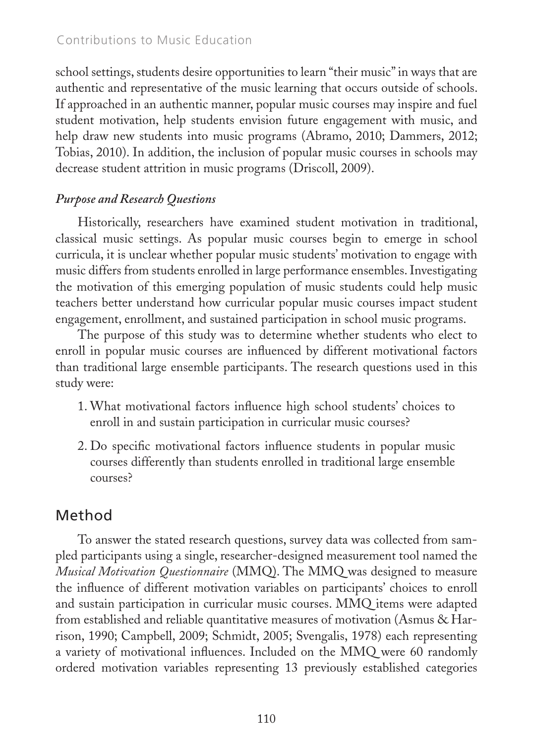### Contributions to Music Education

school settings, students desire opportunities to learn "their music" in ways that are authentic and representative of the music learning that occurs outside of schools. If approached in an authentic manner, popular music courses may inspire and fuel student motivation, help students envision future engagement with music, and help draw new students into music programs (Abramo, 2010; Dammers, 2012; Tobias, 2010). In addition, the inclusion of popular music courses in schools may decrease student attrition in music programs (Driscoll, 2009).

### *Purpose and Research Questions*

Historically, researchers have examined student motivation in traditional, classical music settings. As popular music courses begin to emerge in school curricula, it is unclear whether popular music students' motivation to engage with music differs from students enrolled in large performance ensembles. Investigating the motivation of this emerging population of music students could help music teachers better understand how curricular popular music courses impact student engagement, enrollment, and sustained participation in school music programs.

The purpose of this study was to determine whether students who elect to enroll in popular music courses are influenced by different motivational factors than traditional large ensemble participants. The research questions used in this study were:

- 1. What motivational factors influence high school students' choices to enroll in and sustain participation in curricular music courses?
- 2. Do specific motivational factors influence students in popular music courses differently than students enrolled in traditional large ensemble courses?

# Method

To answer the stated research questions, survey data was collected from sampled participants using a single, researcher-designed measurement tool named the *Musical Motivation Questionnaire* (MMQ). The MMQ was designed to measure the influence of different motivation variables on participants' choices to enroll and sustain participation in curricular music courses. MMQ items were adapted from established and reliable quantitative measures of motivation (Asmus & Harrison, 1990; Campbell, 2009; Schmidt, 2005; Svengalis, 1978) each representing a variety of motivational influences. Included on the MMQ were 60 randomly ordered motivation variables representing 13 previously established categories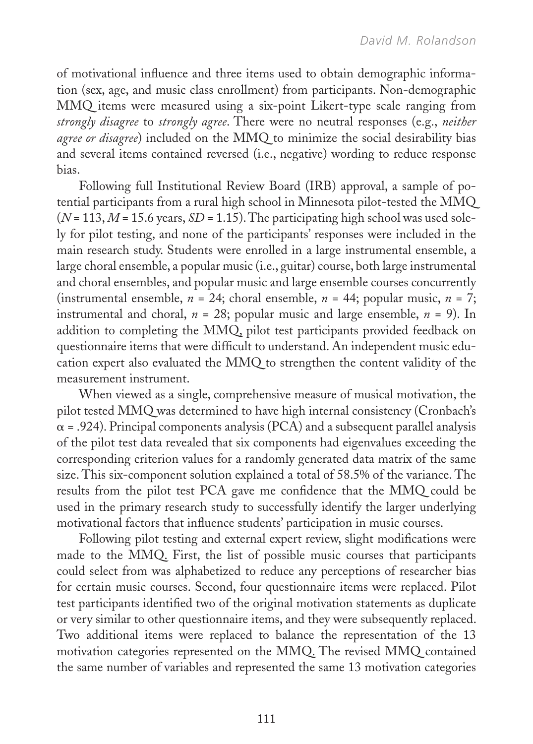of motivational influence and three items used to obtain demographic information (sex, age, and music class enrollment) from participants. Non-demographic MMQ items were measured using a six-point Likert-type scale ranging from *strongly disagree* to *strongly agree*. There were no neutral responses (e.g., *neither agree or disagree*) included on the MMQ to minimize the social desirability bias and several items contained reversed (i.e., negative) wording to reduce response bias.

Following full Institutional Review Board (IRB) approval, a sample of potential participants from a rural high school in Minnesota pilot-tested the MMQ  $(N = 113, M = 15.6$  years,  $SD = 1.15$ ). The participating high school was used solely for pilot testing, and none of the participants' responses were included in the main research study. Students were enrolled in a large instrumental ensemble, a large choral ensemble, a popular music (i.e., guitar) course, both large instrumental and choral ensembles, and popular music and large ensemble courses concurrently (instrumental ensemble,  $n = 24$ ; choral ensemble,  $n = 44$ ; popular music,  $n = 7$ ; instrumental and choral,  $n = 28$ ; popular music and large ensemble,  $n = 9$ ). In addition to completing the MMQ, pilot test participants provided feedback on questionnaire items that were difficult to understand. An independent music education expert also evaluated the MMQ to strengthen the content validity of the measurement instrument.

When viewed as a single, comprehensive measure of musical motivation, the pilot tested MMQ was determined to have high internal consistency (Cronbach's  $\alpha$  = .924). Principal components analysis (PCA) and a subsequent parallel analysis of the pilot test data revealed that six components had eigenvalues exceeding the corresponding criterion values for a randomly generated data matrix of the same size. This six-component solution explained a total of 58.5% of the variance. The results from the pilot test PCA gave me confidence that the MMQ could be used in the primary research study to successfully identify the larger underlying motivational factors that influence students' participation in music courses.

Following pilot testing and external expert review, slight modifications were made to the MMQ. First, the list of possible music courses that participants could select from was alphabetized to reduce any perceptions of researcher bias for certain music courses. Second, four questionnaire items were replaced. Pilot test participants identified two of the original motivation statements as duplicate or very similar to other questionnaire items, and they were subsequently replaced. Two additional items were replaced to balance the representation of the 13 motivation categories represented on the MMQ. The revised MMQ contained the same number of variables and represented the same 13 motivation categories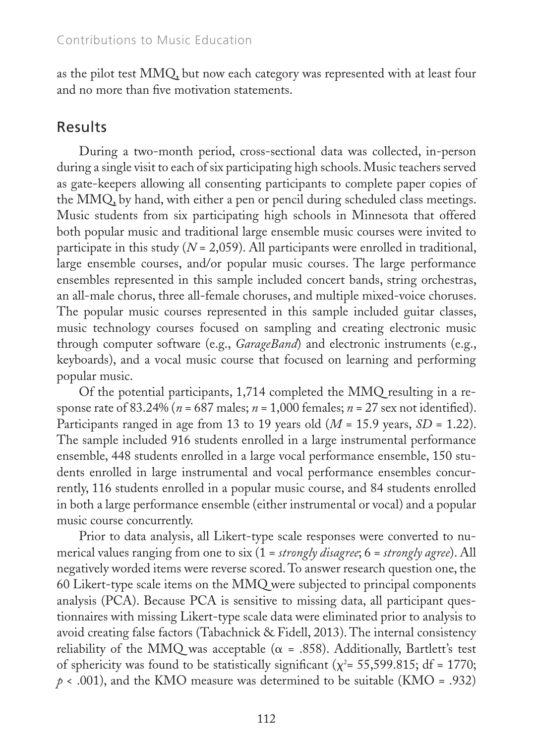as the pilot test MMQ, but now each category was represented with at least four and no more than five motivation statements.

# Results

During a two-month period, cross-sectional data was collected, in-person during a single visit to each of six participating high schools. Music teachers served as gate-keepers allowing all consenting participants to complete paper copies of the MMQ, by hand, with either a pen or pencil during scheduled class meetings. Music students from six participating high schools in Minnesota that offered both popular music and traditional large ensemble music courses were invited to participate in this study (*N* = 2,059). All participants were enrolled in traditional, large ensemble courses, and/or popular music courses. The large performance ensembles represented in this sample included concert bands, string orchestras, an all-male chorus, three all-female choruses, and multiple mixed-voice choruses. The popular music courses represented in this sample included guitar classes, music technology courses focused on sampling and creating electronic music through computer software (e.g., *GarageBand*) and electronic instruments (e.g., keyboards), and a vocal music course that focused on learning and performing popular music.

Of the potential participants, 1,714 completed the MMQ resulting in a response rate of 83.24% ( $n = 687$  males;  $n = 1,000$  females;  $n = 27$  sex not identified). Participants ranged in age from 13 to 19 years old (*M* = 15.9 years, *SD* = 1.22). The sample included 916 students enrolled in a large instrumental performance ensemble, 448 students enrolled in a large vocal performance ensemble, 150 students enrolled in large instrumental and vocal performance ensembles concurrently, 116 students enrolled in a popular music course, and 84 students enrolled in both a large performance ensemble (either instrumental or vocal) and a popular music course concurrently.

Prior to data analysis, all Likert-type scale responses were converted to numerical values ranging from one to six (1 = *strongly disagree*; 6 = *strongly agree*). All negatively worded items were reverse scored. To answer research question one, the 60 Likert-type scale items on the MMQ were subjected to principal components analysis (PCA). Because PCA is sensitive to missing data, all participant questionnaires with missing Likert-type scale data were eliminated prior to analysis to avoid creating false factors (Tabachnick & Fidell, 2013). The internal consistency reliability of the MMQ was acceptable ( $\alpha$  = .858). Additionally, Bartlett's test of sphericity was found to be statistically significant ( $\chi^2$  = 55,599.815; df = 1770;  $p \leftarrow .001$ ), and the KMO measure was determined to be suitable (KMO = .932)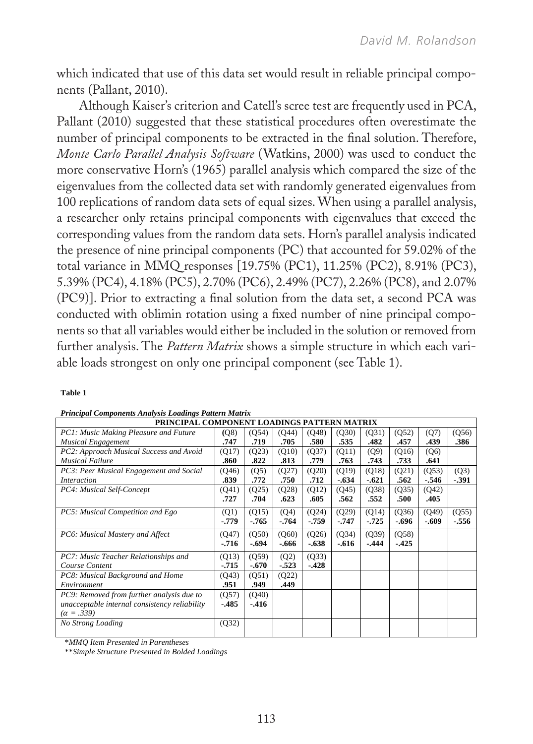which indicated that use of this data set would result in reliable principal components (Pallant, 2010).

Although Kaiser's criterion and Catell's scree test are frequently used in PCA, Pallant (2010) suggested that these statistical procedures often overestimate the number of principal components to be extracted in the final solution. Therefore, *Monte Carlo Parallel Analysis Software* (Watkins, 2000) was used to conduct the more conservative Horn's (1965) parallel analysis which compared the size of the eigenvalues from the collected data set with randomly generated eigenvalues from 100 replications of random data sets of equal sizes. When using a parallel analysis, a researcher only retains principal components with eigenvalues that exceed the corresponding values from the random data sets. Horn's parallel analysis indicated the presence of nine principal components (PC) that accounted for 59.02% of the total variance in MMQ responses [19.75% (PC1), 11.25% (PC2), 8.91% (PC3), 5.39% (PC4), 4.18% (PC5), 2.70% (PC6), 2.49% (PC7), 2.26% (PC8), and 2.07% (PC9)]. Prior to extracting a final solution from the data set, a second PCA was conducted with oblimin rotation using a fixed number of nine principal components so that all variables would either be included in the solution or removed from further analysis. The *Pattern Matrix* shows a simple structure in which each variable loads strongest on only one principal component (see Table 1).

#### **Table 1**

| PRINCIPAL COMPONENT LOADINGS PATTERN MATRIX   |         |         |        |         |         |         |        |         |        |  |  |
|-----------------------------------------------|---------|---------|--------|---------|---------|---------|--------|---------|--------|--|--|
| PC1: Music Making Pleasure and Future         | (Q8)    | (054)   | (O44)  | (048)   | (030)   | (031)   | (052)  | (Q7)    | (056)  |  |  |
| <b>Musical Engagement</b>                     | .747    | .719    | .705   | .580    | .535    | .482    | .457   | .439    | .386   |  |  |
| PC2: Approach Musical Success and Avoid       | (Q17)   | (Q23)   | (Q10)  | (037)   | (Q11)   | (Q9)    | (016)  | (Q6)    |        |  |  |
| <b>Musical Failure</b>                        | .860    | .822    | .813   | .779    | .763    | .743    | .733   | .641    |        |  |  |
| PC3: Peer Musical Engagement and Social       | (Q46)   | (Q5)    | (Q27)  | (020)   | (Q19)   | (Q18)   | (Q21)  | (Q53)   | (Q3)   |  |  |
| <i>Interaction</i>                            | .839    | .772    | .750   | .712    | $-.634$ | $-.621$ | .562   | - 546   | $-391$ |  |  |
| PC4: Musical Self-Concept                     | (Q41)   | (Q25)   | (Q28)  | (Q12)   | (Q45)   | (Q38)   | (Q35)  | (Q42)   |        |  |  |
|                                               | .727    | .704    | .623   | .605    | .562    | .552    | .500   | .405    |        |  |  |
| PC5: Musical Competition and Ego              | (Q1)    | (Q15)   | (Q4)   | (Q24)   | (Q29)   | (014)   | (036)  | (Q49)   | (Q55)  |  |  |
|                                               | $-.779$ | .765    | $-764$ | $-759$  | $-.747$ | .725    | -.696  | $-.609$ | -.556  |  |  |
| PC6: Musical Mastery and Affect               | (Q47)   | (050)   | (Q60)  | (026)   | (Q34)   | (Q39)   | (Q58)  |         |        |  |  |
|                                               | $-.716$ | $-.694$ | -.666  | $-.638$ | $-.616$ | $-444$  | $-425$ |         |        |  |  |
| PC7: Music Teacher Relationships and          | (Q13)   | (059)   | (Q2)   | (033)   |         |         |        |         |        |  |  |
| Course Content                                | $-715$  | $-.670$ | $-523$ | $-428$  |         |         |        |         |        |  |  |
| PC8: Musical Background and Home              | (Q43)   | (051)   | (Q22)  |         |         |         |        |         |        |  |  |
| Environment                                   | .951    | .949    | .449   |         |         |         |        |         |        |  |  |
| PC9: Removed from further analysis due to     | (Q57)   | (040)   |        |         |         |         |        |         |        |  |  |
| unacceptable internal consistency reliability | $-485$  | $-416$  |        |         |         |         |        |         |        |  |  |
| $(\alpha = .339)$                             |         |         |        |         |         |         |        |         |        |  |  |
| No Strong Loading                             | (Q32)   |         |        |         |         |         |        |         |        |  |  |

#### *Principal Components Analysis Loadings Pattern Matrix*

\**MMQ Item Presented in Parentheses* 

\*\**Simple Structure Presented in Bolded Loadings*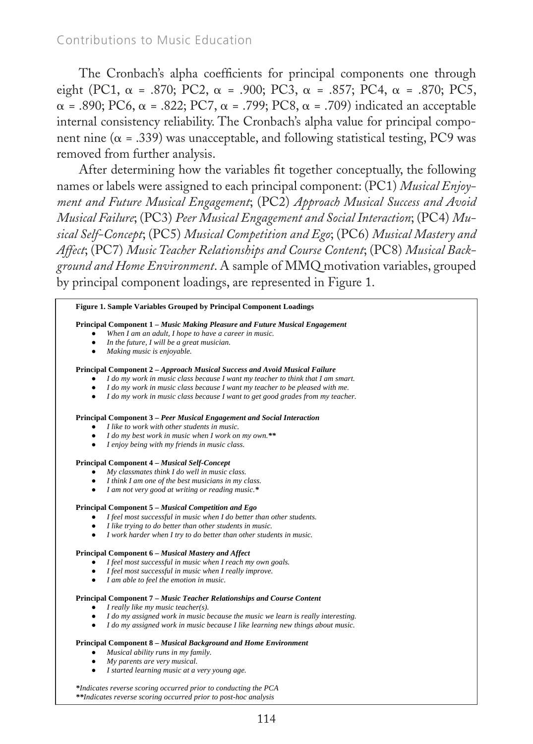The Cronbach's alpha coefficients for principal components one through eight (PC1,  $\alpha$  = .870; PC2,  $\alpha$  = .900; PC3,  $\alpha$  = .857; PC4,  $\alpha$  = .870; PC5,  $\alpha$  = .890; PC6,  $\alpha$  = .822; PC7,  $\alpha$  = .799; PC8,  $\alpha$  = .709) indicated an acceptable internal consistency reliability. The Cronbach's alpha value for principal component nine ( $\alpha$  = .339) was unacceptable, and following statistical testing, PC9 was removed from further analysis.

After determining how the variables fit together conceptually, the following names or labels were assigned to each principal component: (PC1) *Musical Enjoyment and Future Musical Engagement*; (PC2) *Approach Musical Success and Avoid Musical Failure*; (PC3) *Peer Musical Engagement and Social Interaction*; (PC4) *Mu*sical Self-Concept; (PC5) Musical Competition and Ego; (PC6) Musical Mastery and *Affect*; (PC7) *Music Teacher Relationships and Course Content*; (PC8) *Musical Back*ground and Home Environment. A sample of MMQ motivation variables, grouped by principal component loadings, are represented in Figure 1.

#### **Figure 1. Sample Variables Grouped by Principal Component Loadings**

#### **Principal Component 1** *– Music Making Pleasure and Future Musical Engagement*

- When I am an adult, I hope to have a career in music.
- In the future, I will be a great musician.
- *Making music is enjoyable.*

#### **Principal Component 2 –** *Approach Musical Success and Avoid Musical Failure*

- *I do my work in music class because I want my teacher to think that I am smart.*
- I do my work in music class because I want my teacher to be pleased with me.
- *I do my work in music class because I want to get good grades from my teacher.*

#### **Principal Component 3 –** *Peer Musical Engagement and Social Interaction*

- *I like to work with other students in music.*
- *I do my best work in music when I work on my own.\*\**
- *I enjoy being with my friends in music class.*

#### **Principal Component 4 –** *Musical Self-Concept*

- *My classmates think I do well in music class.*
- *I think I am one of the best musicians in my class.*
- *I am not very good at writing or reading music.\**

#### **Principal Component 5 –** *Musical Competition and Ego*

- *I feel most successful in music when I do better than other students.*
- *I like trying to do better than other students in music.*
- *I work harder when I try to do better than other students in music.*

#### **Principal Component 6 –** *Musical Mastery and Affect*

- *I feel most successful in music when I reach my own goals.*
- *I feel most successful in music when I really improve.*
- *I am able to feel the emotion in music.*

#### **Principal Component 7 –** *Music Teacher Relationships and Course Content*

- *I really like my music teacher(s).*
- *I do my assigned work in music because the music we learn is really interesting.*
- *I do my assigned work in music because I like learning new things about music.*

#### **Principal Component 8 –** *Musical Background and Home Environment*

- *Musical ability runs in my family.*
- *My parents are very musical.*<br>● *I started learning music at a*
- *I started learning music at a very young age.*

*\*Indicates reverse scoring occurred prior to conducting the PCA \*\*Indicates reverse scoring occurred prior to post-hoc analysis*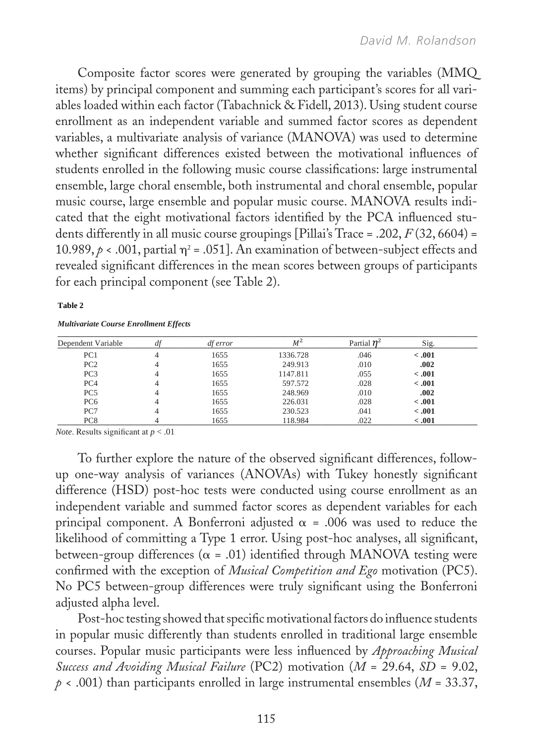Composite factor scores were generated by grouping the variables (MMQ items) by principal component and summing each participant's scores for all variables loaded within each factor (Tabachnick & Fidell, 2013). Using student course enrollment as an independent variable and summed factor scores as dependent variables, a multivariate analysis of variance (MANOVA) was used to determine whether significant differences existed between the motivational influences of students enrolled in the following music course classifications: large instrumental ensemble, large choral ensemble, both instrumental and choral ensemble, popular music course, large ensemble and popular music course. MANOVA results indicated that the eight motivational factors identified by the PCA influenced students differently in all music course groupings [Pillai's Trace = .202, *F* (32, 6604) = 10.989,  $\rho$  < .001, partial  $\eta$ <sup>2</sup> = .051]. An examination of between-subject effects and revealed significant differences in the mean scores between groups of participants for each principal component (see Table 2).

#### **Table 2**

*Multivariate Course Enrollment Effects* 

| Dependent Variable | <i>df error</i> | $M^2$    | Partial $n^2$ | Sig.    |
|--------------------|-----------------|----------|---------------|---------|
| PC <sub>1</sub>    | 1655            | 1336.728 | .046          | < 0.001 |
| PC <sub>2</sub>    | 1655            | 249.913  | .010          | .002    |
| PC <sub>3</sub>    | 1655            | 1147.811 | .055          | < 0.001 |
| PC <sub>4</sub>    | 1655            | 597.572  | .028          | $-.001$ |
| PC <sub>5</sub>    | 1655            | 248.969  | .010          | .002    |
| PC <sub>6</sub>    | 1655            | 226.031  | .028          | $-.001$ |
| PC7                | 1655            | 230.523  | .041          | $-.001$ |
| PC <sub>8</sub>    | 1655            | 118.984  | .022          | < 0.001 |

*Results significant at p < .01 Note*. Results signifcant at *p* < .01

To further explore the nature of the observed significant differences, followup one-way analysis of variances (ANOVAs) with Tukey honestly significant difference (HSD) post-hoc tests were conducted using course enrollment as an independent variable and summed factor scores as dependent variables for each principal component. A Bonferroni adjusted  $\alpha$  = .006 was used to reduce the likelihood of committing a Type 1 error. Using post-hoc analyses, all significant, between-group differences ( $\alpha$  = .01) identified through MANOVA testing were confirmed with the exception of *Musical Competition and Ego* motivation (PC5). No PC5 between-group differences were truly significant using the Bonferroni adjusted alpha level.

Post-hoc testing showed that specific motivational factors do influence students in popular music differently than students enrolled in traditional large ensemble courses. Popular music participants were less influenced by *Approaching Musical Success and Avoiding Musical Failure* (PC2) motivation (*M* = 29.64, *SD* = 9.02,  $p \times .001$ ) than participants enrolled in large instrumental ensembles ( $M = 33.37$ ,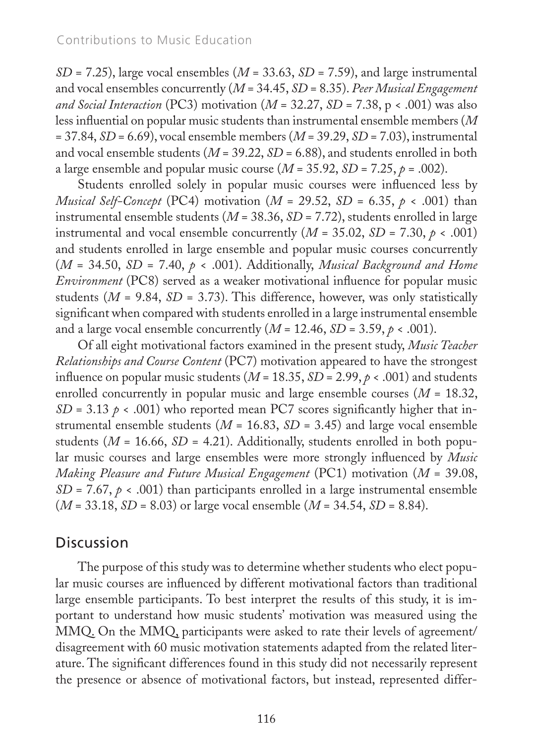$SD = 7.25$ ), large vocal ensembles ( $M = 33.63$ ,  $SD = 7.59$ ), and large instrumental and vocal ensembles concurrently (*M* = 34.45, *SD* = 8.35). *Peer Musical Engagement and Social Interaction* (PC3) motivation ( $M = 32.27$ ,  $SD = 7.38$ ,  $p < .001$ ) was also less influential on popular music students than instrumental ensemble members (*M* = 37.84, *SD* = 6.69), vocal ensemble members (*M* = 39.29, *SD* = 7.03), instrumental and vocal ensemble students (*M* = 39.22, *SD* = 6.88), and students enrolled in both a large ensemble and popular music course  $(M = 35.92, SD = 7.25, p = .002)$ .

Students enrolled solely in popular music courses were influenced less by *Musical Self-Concept* (PC4) motivation ( $M = 29.52$ ,  $SD = 6.35$ ,  $p \lt 0.001$ ) than instrumental ensemble students (*M* = 38.36, *SD* = 7.72), students enrolled in large instrumental and vocal ensemble concurrently  $(M = 35.02, SD = 7.30, p < .001)$ and students enrolled in large ensemble and popular music courses concurrently (*M* = 34.50, *SD* = 7.40, *p* < .001). Additionally, *Musical Background and Home Environment* (PC8) served as a weaker motivational influence for popular music students  $(M = 9.84, SD = 3.73)$ . This difference, however, was only statistically significant when compared with students enrolled in a large instrumental ensemble and a large vocal ensemble concurrently  $(M = 12.46, SD = 3.59, p < .001)$ .

Of all eight motivational factors examined in the present study, *Music Teacher Relationships and Course Content* (PC7) motivation appeared to have the strongest influence on popular music students ( $M = 18.35$ ,  $SD = 2.99$ ,  $p < .001$ ) and students enrolled concurrently in popular music and large ensemble courses  $(M = 18.32,$  $SD = 3.13 \, \rho \cdot .001$ ) who reported mean PC7 scores significantly higher that instrumental ensemble students ( $M = 16.83$ ,  $SD = 3.45$ ) and large vocal ensemble students ( $M = 16.66$ ,  $SD = 4.21$ ). Additionally, students enrolled in both popular music courses and large ensembles were more strongly influenced by *Music Making Pleasure and Future Musical Engagement* (PC1) motivation (*M* = 39.08,  $SD = 7.67$ ,  $p < .001$ ) than participants enrolled in a large instrumental ensemble (*M* = 33.18, *SD* = 8.03) or large vocal ensemble (*M* = 34.54, *SD* = 8.84).

# **Discussion**

The purpose of this study was to determine whether students who elect popular music courses are influenced by different motivational factors than traditional large ensemble participants. To best interpret the results of this study, it is important to understand how music students' motivation was measured using the MMQ. On the MMQ, participants were asked to rate their levels of agreement/ disagreement with 60 music motivation statements adapted from the related literature. The significant differences found in this study did not necessarily represent the presence or absence of motivational factors, but instead, represented differ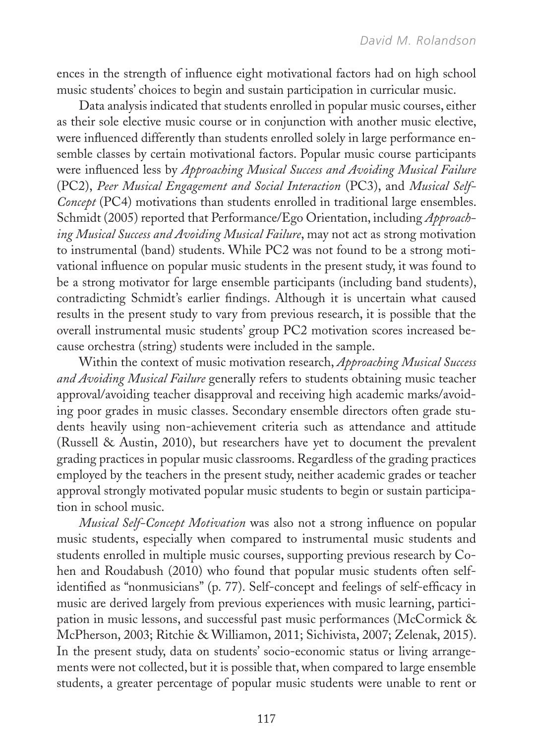ences in the strength of influence eight motivational factors had on high school music students' choices to begin and sustain participation in curricular music.

Data analysis indicated that students enrolled in popular music courses, either as their sole elective music course or in conjunction with another music elective, were influenced differently than students enrolled solely in large performance ensemble classes by certain motivational factors. Popular music course participants were influenced less by *Approaching Musical Success and Avoiding Musical Failure* (PC2), *Peer Musical Engagement and Social Interaction* (PC3), and *Musical Self-Concept* (PC4) motivations than students enrolled in traditional large ensembles. Schmidt (2005) reported that Performance/Ego Orientation, including *Approaching Musical Success and Avoiding Musical Failure*, may not act as strong motivation to instrumental (band) students. While PC2 was not found to be a strong motivational influence on popular music students in the present study, it was found to be a strong motivator for large ensemble participants (including band students), contradicting Schmidt's earlier findings. Although it is uncertain what caused results in the present study to vary from previous research, it is possible that the overall instrumental music students' group PC2 motivation scores increased because orchestra (string) students were included in the sample.

Within the context of music motivation research, *Approaching Musical Success and Avoiding Musical Failure* generally refers to students obtaining music teacher approval/avoiding teacher disapproval and receiving high academic marks/avoiding poor grades in music classes. Secondary ensemble directors often grade students heavily using non-achievement criteria such as attendance and attitude (Russell & Austin, 2010), but researchers have yet to document the prevalent grading practices in popular music classrooms. Regardless of the grading practices employed by the teachers in the present study, neither academic grades or teacher approval strongly motivated popular music students to begin or sustain participation in school music.

*Musical Self-Concept Motivation* was also not a strong influence on popular music students, especially when compared to instrumental music students and students enrolled in multiple music courses, supporting previous research by Cohen and Roudabush (2010) who found that popular music students often selfidentified as "nonmusicians" (p. 77). Self-concept and feelings of self-efficacy in music are derived largely from previous experiences with music learning, participation in music lessons, and successful past music performances (McCormick & McPherson, 2003; Ritchie & Williamon, 2011; Sichivista, 2007; Zelenak, 2015). In the present study, data on students' socio-economic status or living arrangements were not collected, but it is possible that, when compared to large ensemble students, a greater percentage of popular music students were unable to rent or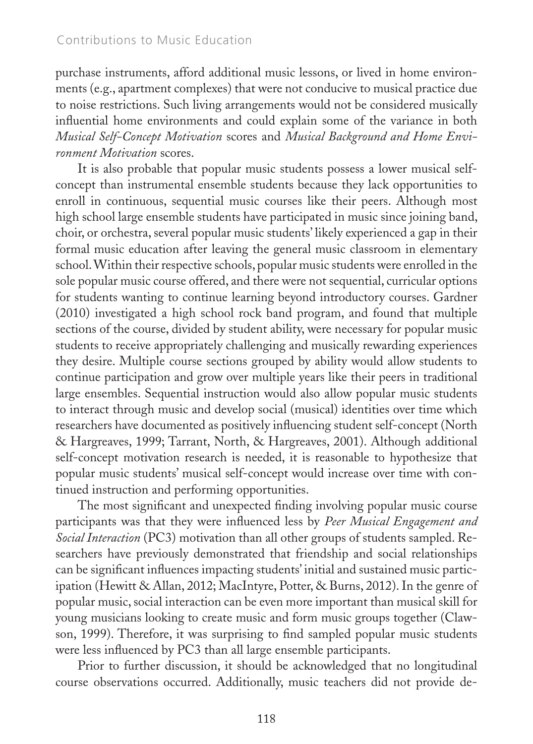purchase instruments, afford additional music lessons, or lived in home environments (e.g., apartment complexes) that were not conducive to musical practice due to noise restrictions. Such living arrangements would not be considered musically influential home environments and could explain some of the variance in both *Musical Self-Concept Motivation* scores and *Musical Background and Home Environment Motivation* scores.

It is also probable that popular music students possess a lower musical selfconcept than instrumental ensemble students because they lack opportunities to enroll in continuous, sequential music courses like their peers. Although most high school large ensemble students have participated in music since joining band, choir, or orchestra, several popular music students' likely experienced a gap in their formal music education after leaving the general music classroom in elementary school. Within their respective schools, popular music students were enrolled in the sole popular music course offered, and there were not sequential, curricular options for students wanting to continue learning beyond introductory courses. Gardner (2010) investigated a high school rock band program, and found that multiple sections of the course, divided by student ability, were necessary for popular music students to receive appropriately challenging and musically rewarding experiences they desire. Multiple course sections grouped by ability would allow students to continue participation and grow over multiple years like their peers in traditional large ensembles. Sequential instruction would also allow popular music students to interact through music and develop social (musical) identities over time which researchers have documented as positively influencing student self-concept (North & Hargreaves, 1999; Tarrant, North, & Hargreaves, 2001). Although additional self-concept motivation research is needed, it is reasonable to hypothesize that popular music students' musical self-concept would increase over time with continued instruction and performing opportunities.

The most significant and unexpected finding involving popular music course participants was that they were influenced less by *Peer Musical Engagement and Social Interaction* (PC3) motivation than all other groups of students sampled. Researchers have previously demonstrated that friendship and social relationships can be significant influences impacting students' initial and sustained music participation (Hewitt & Allan, 2012; MacIntyre, Potter, & Burns, 2012). In the genre of popular music, social interaction can be even more important than musical skill for young musicians looking to create music and form music groups together (Clawson, 1999). Therefore, it was surprising to find sampled popular music students were less influenced by PC3 than all large ensemble participants.

Prior to further discussion, it should be acknowledged that no longitudinal course observations occurred. Additionally, music teachers did not provide de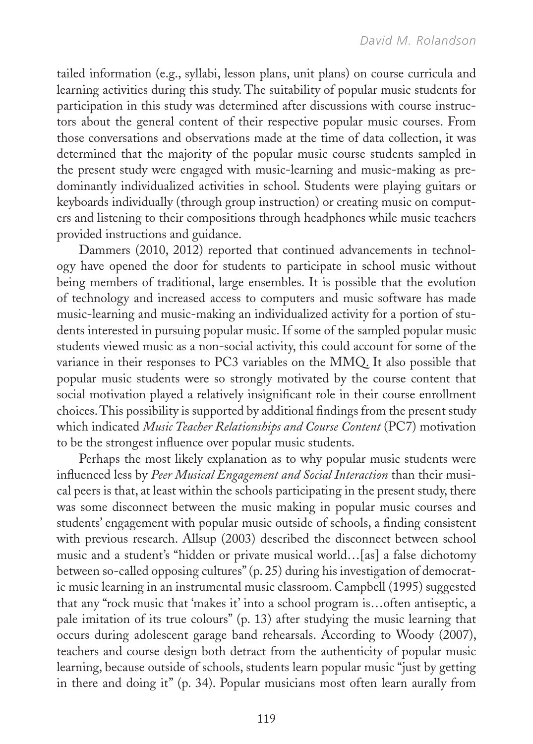tailed information (e.g., syllabi, lesson plans, unit plans) on course curricula and learning activities during this study. The suitability of popular music students for participation in this study was determined after discussions with course instructors about the general content of their respective popular music courses. From those conversations and observations made at the time of data collection, it was determined that the majority of the popular music course students sampled in the present study were engaged with music-learning and music-making as predominantly individualized activities in school. Students were playing guitars or keyboards individually (through group instruction) or creating music on computers and listening to their compositions through headphones while music teachers provided instructions and guidance.

Dammers (2010, 2012) reported that continued advancements in technology have opened the door for students to participate in school music without being members of traditional, large ensembles. It is possible that the evolution of technology and increased access to computers and music software has made music-learning and music-making an individualized activity for a portion of students interested in pursuing popular music. If some of the sampled popular music students viewed music as a non-social activity, this could account for some of the variance in their responses to PC3 variables on the MMQ. It also possible that popular music students were so strongly motivated by the course content that social motivation played a relatively insignificant role in their course enrollment choices. This possibility is supported by additional findings from the present study which indicated *Music Teacher Relationships and Course Content* (PC7) motivation to be the strongest influence over popular music students.

Perhaps the most likely explanation as to why popular music students were influenced less by *Peer Musical Engagement and Social Interaction* than their musical peers is that, at least within the schools participating in the present study, there was some disconnect between the music making in popular music courses and students' engagement with popular music outside of schools, a finding consistent with previous research. Allsup (2003) described the disconnect between school music and a student's "hidden or private musical world…[as] a false dichotomy between so-called opposing cultures" (p. 25) during his investigation of democratic music learning in an instrumental music classroom. Campbell (1995) suggested that any "rock music that 'makes it' into a school program is…often antiseptic, a pale imitation of its true colours" (p. 13) after studying the music learning that occurs during adolescent garage band rehearsals. According to Woody (2007), teachers and course design both detract from the authenticity of popular music learning, because outside of schools, students learn popular music "just by getting in there and doing it" (p. 34). Popular musicians most often learn aurally from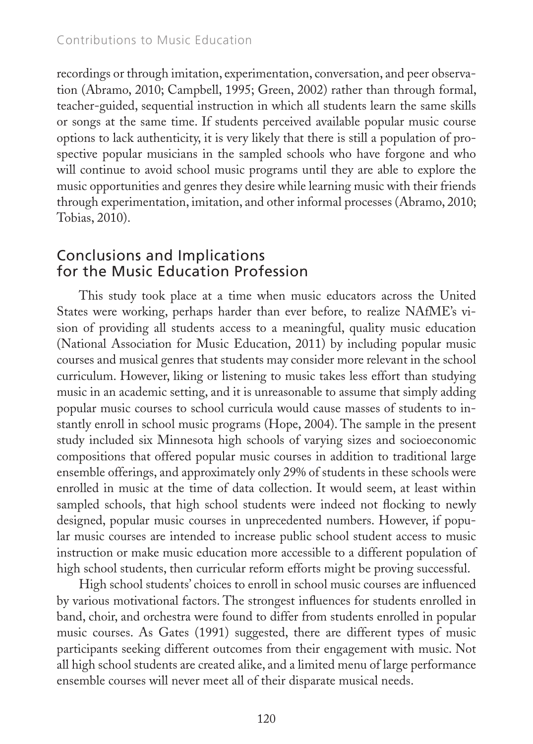- $\Box$  Special Education Methods
- □ Middle School/High School Field Experience
- □ Middle School/High School methods
- □ Elementary Methods/field experience ic Education
- $\Box$  Elementary methods
- □ Teaching English to Speakers of Other Languages (TESOL)
- □ Reading and Wings on the Conglin mitation, experimentation, conversation, and peer observa-
- □ Educatiion Ps(xdhbtagyno, 2010; Campbell, 1995; Green, 2002) rather than through formal,
- <sup>1</sup> Foundation of Education, sequential instruction in which all students learn the same skills
- $\Box$  I did not use lesson/rehearsal plans in general education courses or songs at the same time. If students perceived available popular music course
- $\Box$  Other, please specify  $\Box$ 2. In which music education courses were you asked to use lesson/rehearsal plans? (Check all that apply.) options to lack authenticity, it is very likely that there is still a population of pro-
	- Introduction to Music education to musicians in the sampled schools who have forgone and who
	- General Music Methods to lavoid school music programs until they are able to explore the
	- $\Box$  General Music Kindergarten–5
	- $\Box$  Seheral Music Supportunities and genres they desire while learning music with their friends Middle School/High School Teaching Music
	- Instrumental Material Methods is the Methods of the informal processes (Abramo, 2010;
	- □ Vocal Waterns, and Methods
	- $\Box$  I did not use lesson plan/rehearsal plans in my music education courses
	- $\Box$  Other, please specify
- 3. In which music **OD COUPS LEARS wERPS** all **ARAPS** LEGISLATIONS areas al plans? (Check all that apply.)

### □ Basic **∉or tuthe Music Education Profession**

- � Advanced Conducting
- $\Box$  Rehearsal Climis study took place at a time when music educators across the United
- **Percussion Methodse** working, perhaps harder than ever before, to realize NAfME's vi-
- □ Strings Methods  $\Box$  surings we<br>consider the sion of providing all students access to a meaningful, quality music education
	- � Woodwinds Methods (National Association for Music Education, 2011) by including popular music
	- $\Box$  Brass Nethodes and musical genres that students may consider more relevant in the school
	- <sup>1</sup> String Jephicules String Indian Contribution String to music takes less effort than studying
	- � Marching Band Techniques music in an academic setting, and it is unreasonable to assume that simply adding
	- □ Jazz Methods
- $\Box$  Sazz Menopular music courses to school curricula would cause masses of students to in-<br>  $\Box$  Other, please specify
- **I Did Not Use Lesson Lines Standard Plans September 2004**. The sample in the present 4. To what ext**entualyyomcihstlaedosixddvesnspesotta Idsigrip kuhmag is yo**lu**vanyisme?** sizes and socioeconomic

 $\frac{27}{11}$  lar music courses are intended to increase public school student access to music compositions that offered popular music courses in addition to traditional large Objective mble offerings, and approximately only 29% of students in these schools were Unit Developpolleed in music at the time of data collection. It would seem, at least within sampled schools, that high school students were indeed not flocking to newly designed, popular music courses in unprecedented numbers. However, if popuinstruction or make music education more accessible to a different population of

high school students, then curricular reform efforts might be proving successful. High school students' choices to enroll in school music courses are influenced by various motivational factors. The strongest influences for students enrolled in

band, choir, and orchestra were found to differ from students enrolled in popular music courses. As Gates (1991) suggested, there are different types of music participants seeking different outcomes from their engagement with music. Not all high school students are created alike, and a limited menu of large performance ensemble courses will never meet all of their disparate musical needs.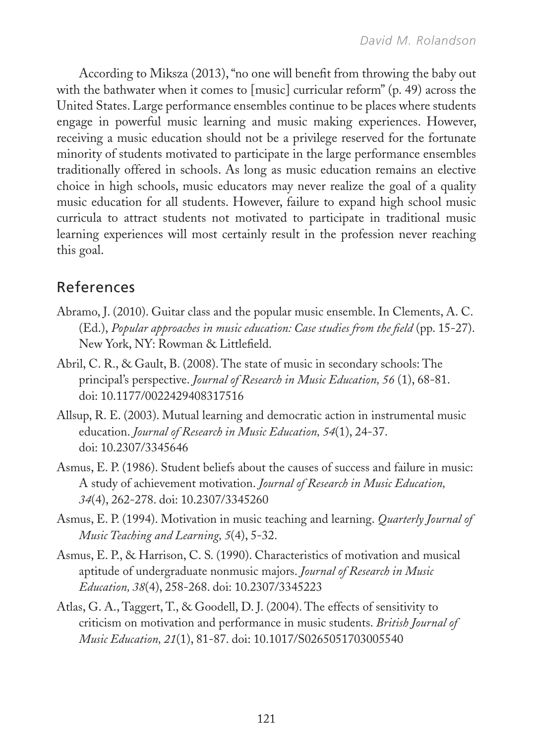According to Miksza (2013), "no one will benefit from throwing the baby out with the bathwater when it comes to [music] curricular reform" (p. 49) across the United States. Large performance ensembles continue to be places where students engage in powerful music learning and music making experiences. However, receiving a music education should not be a privilege reserved for the fortunate minority of students motivated to participate in the large performance ensembles traditionally offered in schools. As long as music education remains an elective choice in high schools, music educators may never realize the goal of a quality music education for all students. However, failure to expand high school music curricula to attract students not motivated to participate in traditional music learning experiences will most certainly result in the profession never reaching this goal.

# References

- Abramo, J. (2010). Guitar class and the popular music ensemble. In Clements, A. C. (Ed.), *Popular approaches in music education: Case studies from the field* (pp. 15-27). New York, NY: Rowman & Littlefield.
- Abril, C. R., & Gault, B. (2008). The state of music in secondary schools: The principal's perspective. *Journal of Research in Music Education, 56* (1), 68-81. doi: 10.1177/0022429408317516
- Allsup, R. E. (2003). Mutual learning and democratic action in instrumental music education. *Journal of Research in Music Education, 54*(1), 24-37. doi: 10.2307/3345646
- Asmus, E. P. (1986). Student beliefs about the causes of success and failure in music: A study of achievement motivation. *Journal of Research in Music Education, 34*(4), 262-278. doi: 10.2307/3345260
- Asmus, E. P. (1994). Motivation in music teaching and learning. *Quarterly Journal of Music Teaching and Learning, 5*(4), 5-32.
- Asmus, E. P., & Harrison, C. S. (1990). Characteristics of motivation and musical aptitude of undergraduate nonmusic majors. *Journal of Research in Music Education, 38*(4), 258-268. doi: 10.2307/3345223
- Atlas, G. A., Taggert, T., & Goodell, D. J. (2004). The effects of sensitivity to criticism on motivation and performance in music students. *British Journal of Music Education, 21*(1), 81-87. doi: 10.1017/S0265051703005540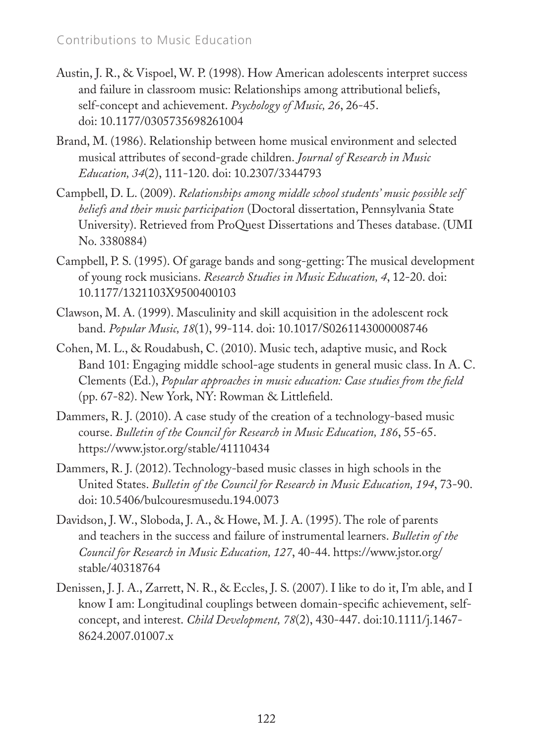- Austin, J. R., & Vispoel, W. P. (1998). How American adolescents interpret success and failure in classroom music: Relationships among attributional beliefs, self-concept and achievement. *Psychology of Music, 26*, 26-45. doi: 10.1177/0305735698261004
- Brand, M. (1986). Relationship between home musical environment and selected musical attributes of second-grade children. *Journal of Research in Music Education, 34*(2), 111-120. doi: 10.2307/3344793
- Campbell, D. L. (2009). *Relationships among middle school students' music possible self beliefs and their music participation* (Doctoral dissertation, Pennsylvania State University). Retrieved from ProQuest Dissertations and Theses database. (UMI No. 3380884)
- Campbell, P. S. (1995). Of garage bands and song-getting: The musical development of young rock musicians. *Research Studies in Music Education, 4*, 12-20. doi: 10.1177/1321103X9500400103
- Clawson, M. A. (1999). Masculinity and skill acquisition in the adolescent rock band. *Popular Music, 18*(1), 99-114. doi: 10.1017/S0261143000008746
- Cohen, M. L., & Roudabush, C. (2010). Music tech, adaptive music, and Rock Band 101: Engaging middle school-age students in general music class. In A. C. Clements (Ed.), *Popular approaches in music education: Case studies from the field* (pp. 67-82). New York, NY: Rowman & Littlefield.
- Dammers, R. J. (2010). A case study of the creation of a technology-based music course. *Bulletin of the Council for Research in Music Education, 186*, 55-65. https://www.jstor.org/stable/41110434
- Dammers, R. J. (2012). Technology-based music classes in high schools in the United States. *Bulletin of the Council for Research in Music Education, 194*, 73-90. doi: 10.5406/bulcouresmusedu.194.0073
- Davidson, J. W., Sloboda, J. A., & Howe, M. J. A. (1995). The role of parents and teachers in the success and failure of instrumental learners. *Bulletin of the Council for Research in Music Education, 127*, 40-44. https://www.jstor.org/ stable/40318764
- Denissen, J. J. A., Zarrett, N. R., & Eccles, J. S. (2007). I like to do it, I'm able, and I know I am: Longitudinal couplings between domain-specific achievement, selfconcept, and interest. *Child Development, 78*(2), 430-447. doi:10.1111/j.1467- 8624.2007.01007.x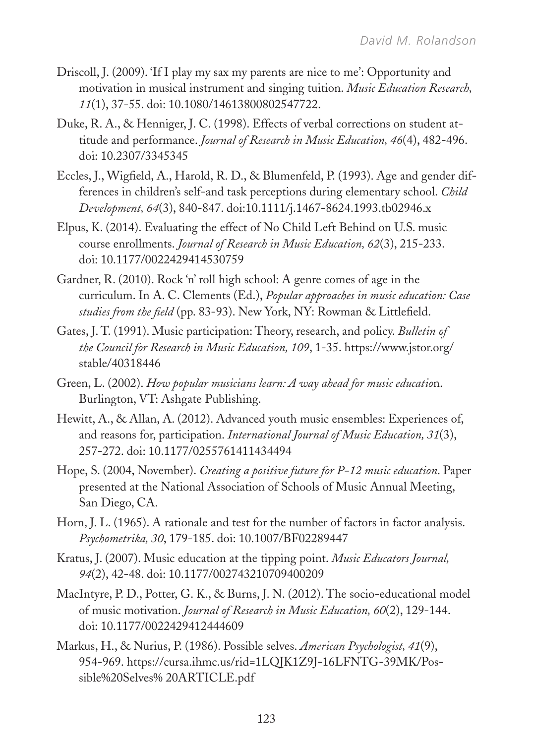- Driscoll, J. (2009). 'If I play my sax my parents are nice to me': Opportunity and motivation in musical instrument and singing tuition. *Music Education Research, 11*(1), 37-55. doi: 10.1080/14613800802547722.
- Duke, R. A., & Henniger, J. C. (1998). Effects of verbal corrections on student attitude and performance. *Journal of Research in Music Education, 46*(4), 482-496. doi: 10.2307/3345345
- Eccles, J., Wigfield, A., Harold, R. D., & Blumenfeld, P. (1993). Age and gender differences in children's self-and task perceptions during elementary school. *Child Development, 64*(3), 840-847. doi:10.1111/j.1467-8624.1993.tb02946.x
- Elpus, K. (2014). Evaluating the effect of No Child Left Behind on U.S. music course enrollments. *Journal of Research in Music Education, 62*(3), 215-233. doi: 10.1177/0022429414530759
- Gardner, R. (2010). Rock 'n' roll high school: A genre comes of age in the curriculum. In A. C. Clements (Ed.), *Popular approaches in music education: Case studies from the field* (pp. 83-93). New York, NY: Rowman & Littlefield.
- Gates, J. T. (1991). Music participation: Theory, research, and policy. *Bulletin of the Council for Research in Music Education, 109*, 1-35. https://www.jstor.org/ stable/40318446
- Green, L. (2002). *How popular musicians learn: A way ahead for music educatio*n. Burlington, VT: Ashgate Publishing.
- Hewitt, A., & Allan, A. (2012). Advanced youth music ensembles: Experiences of, and reasons for, participation. *International Journal of Music Education, 31*(3), 257-272. doi: 10.1177/0255761411434494
- Hope, S. (2004, November). *Creating a positive future for P-12 music education*. Paper presented at the National Association of Schools of Music Annual Meeting, San Diego, CA.
- Horn, J. L. (1965). A rationale and test for the number of factors in factor analysis. *Psychometrika, 30*, 179-185. doi: 10.1007/BF02289447
- Kratus, J. (2007). Music education at the tipping point. *Music Educators Journal, 94*(2), 42-48. doi: 10.1177/002743210709400209
- MacIntyre, P. D., Potter, G. K., & Burns, J. N. (2012). The socio-educational model of music motivation. *Journal of Research in Music Education, 60*(2), 129-144. doi: 10.1177/0022429412444609
- Markus, H., & Nurius, P. (1986). Possible selves. *American Psychologist, 41*(9), 954-969. https://cursa.ihmc.us/rid=1LQJK1Z9J-16LFNTG-39MK/Possible%20Selves% 20ARTICLE.pdf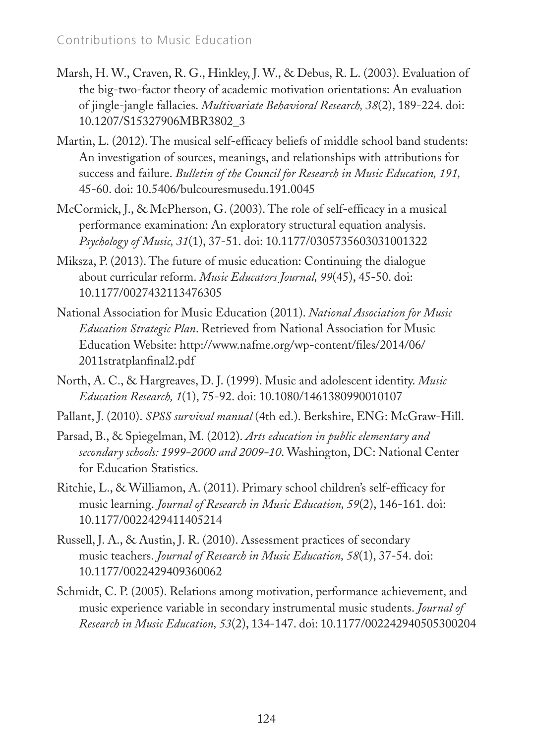- Marsh, H. W., Craven, R. G., Hinkley, J. W., & Debus, R. L. (2003). Evaluation of the big-two-factor theory of academic motivation orientations: An evaluation of jingle-jangle fallacies. *Multivariate Behavioral Research, 38*(2), 189-224. doi: 10.1207/S15327906MBR3802\_3
- Martin, L. (2012). The musical self-efficacy beliefs of middle school band students: An investigation of sources, meanings, and relationships with attributions for success and failure. *Bulletin of the Council for Research in Music Education, 191,* 45-60. doi: 10.5406/bulcouresmusedu.191.0045
- McCormick, J., & McPherson, G. (2003). The role of self-efficacy in a musical performance examination: An exploratory structural equation analysis. *Psychology of Music, 31*(1), 37-51. doi: 10.1177/0305735603031001322
- Miksza, P. (2013). The future of music education: Continuing the dialogue about curricular reform. *Music Educators Journal, 99*(45), 45-50. doi: 10.1177/0027432113476305
- National Association for Music Education (2011). *National Association for Music Education Strategic Plan*. Retrieved from National Association for Music Education Website: http://www.nafme.org/wp-content/files/2014/06/ 2011stratplanfinal2.pdf
- North, A. C., & Hargreaves, D. J. (1999). Music and adolescent identity. *Music Education Research, 1*(1), 75-92. doi: 10.1080/1461380990010107
- Pallant, J. (2010). *SPSS survival manual* (4th ed.). Berkshire, ENG: McGraw-Hill.
- Parsad, B., & Spiegelman, M. (2012). *Arts education in public elementary and secondary schools: 1999-2000 and 2009-10*. Washington, DC: National Center for Education Statistics.
- Ritchie, L., & Williamon, A. (2011). Primary school children's self-efficacy for music learning. *Journal of Research in Music Education, 59*(2), 146-161. doi: 10.1177/0022429411405214
- Russell, J. A., & Austin, J. R. (2010). Assessment practices of secondary music teachers. *Journal of Research in Music Education, 58*(1), 37-54. doi: 10.1177/0022429409360062
- Schmidt, C. P. (2005). Relations among motivation, performance achievement, and music experience variable in secondary instrumental music students. *Journal of Research in Music Education, 53*(2), 134-147. doi: 10.1177/002242940505300204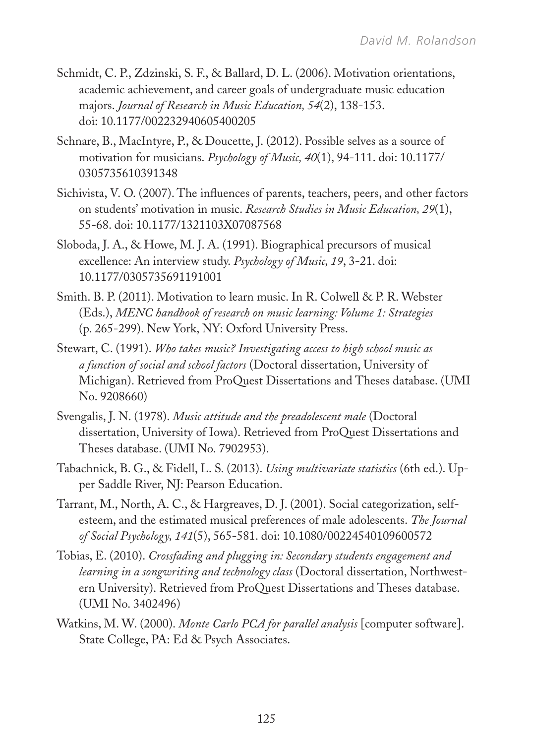- Schmidt, C. P., Zdzinski, S. F., & Ballard, D. L. (2006). Motivation orientations, academic achievement, and career goals of undergraduate music education majors. *Journal of Research in Music Education, 54*(2), 138-153. doi: 10.1177/002232940605400205
- Schnare, B., MacIntyre, P., & Doucette, J. (2012). Possible selves as a source of motivation for musicians. *Psychology of Music, 40*(1), 94-111. doi: 10.1177/ 0305735610391348
- Sichivista, V. O. (2007). The influences of parents, teachers, peers, and other factors on students' motivation in music. *Research Studies in Music Education, 29*(1), 55-68. doi: 10.1177/1321103X07087568
- Sloboda, J. A., & Howe, M. J. A. (1991). Biographical precursors of musical excellence: An interview study. *Psychology of Music, 19*, 3-21. doi: 10.1177/0305735691191001
- Smith. B. P. (2011). Motivation to learn music. In R. Colwell & P. R. Webster (Eds.), *MENC handbook of research on music learning: Volume 1: Strategies* (p. 265-299). New York, NY: Oxford University Press.
- Stewart, C. (1991). *Who takes music? Investigating access to high school music as a function of social and school factors* (Doctoral dissertation, University of Michigan). Retrieved from ProQuest Dissertations and Theses database. (UMI No. 9208660)
- Svengalis, J. N. (1978). *Music attitude and the preadolescent male* (Doctoral dissertation, University of Iowa). Retrieved from ProQuest Dissertations and Theses database. (UMI No. 7902953).
- Tabachnick, B. G., & Fidell, L. S. (2013). *Using multivariate statistics* (6th ed.). Upper Saddle River, NJ: Pearson Education.
- Tarrant, M., North, A. C., & Hargreaves, D. J. (2001). Social categorization, selfesteem, and the estimated musical preferences of male adolescents. *The Journal of Social Psychology, 141*(5), 565-581. doi: 10.1080/00224540109600572
- Tobias, E. (2010). *Crossfading and plugging in: Secondary students engagement and learning in a songwriting and technology class* (Doctoral dissertation, Northwestern University). Retrieved from ProQuest Dissertations and Theses database. (UMI No. 3402496)
- Watkins, M. W. (2000). *Monte Carlo PCA for parallel analysis* [computer software]. State College, PA: Ed & Psych Associates.